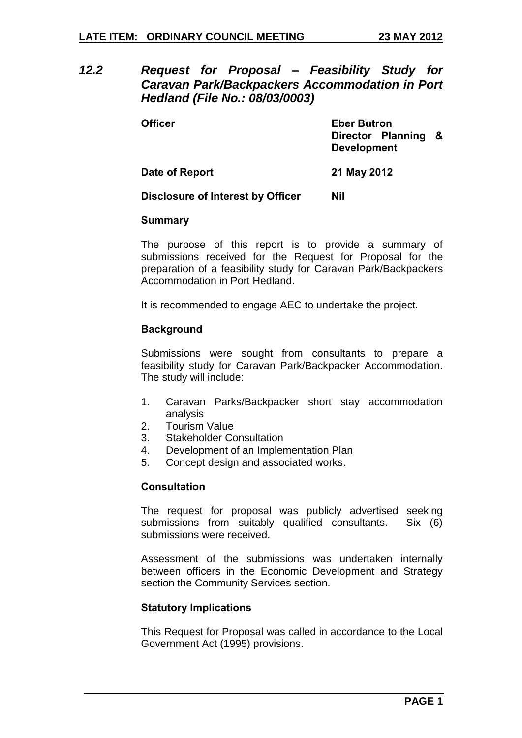*12.2 Request for Proposal – Feasibility Study for Caravan Park/Backpackers Accommodation in Port Hedland (File No.: 08/03/0003)*

**Officer Eber Butron Director Planning & Development**

# **Date of Report 21 May 2012**

## **Disclosure of Interest by Officer Nil**

#### **Summary**

The purpose of this report is to provide a summary of submissions received for the Request for Proposal for the preparation of a feasibility study for Caravan Park/Backpackers Accommodation in Port Hedland.

It is recommended to engage AEC to undertake the project.

# **Background**

Submissions were sought from consultants to prepare a feasibility study for Caravan Park/Backpacker Accommodation. The study will include:

- 1. Caravan Parks/Backpacker short stay accommodation analysis
- 2. Tourism Value
- 3. Stakeholder Consultation
- 4. Development of an Implementation Plan
- 5. Concept design and associated works.

## **Consultation**

The request for proposal was publicly advertised seeking submissions from suitably qualified consultants. Six (6) submissions were received.

Assessment of the submissions was undertaken internally between officers in the Economic Development and Strategy section the Community Services section.

## **Statutory Implications**

This Request for Proposal was called in accordance to the Local Government Act (1995) provisions.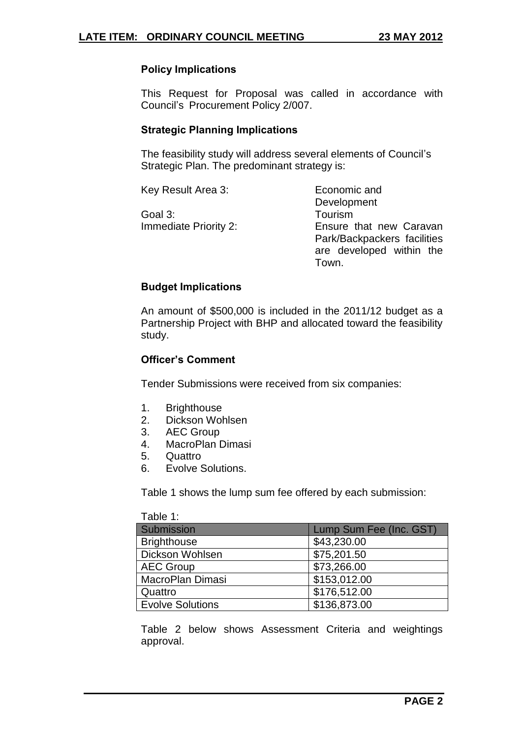# **Policy Implications**

This Request for Proposal was called in accordance with Council's Procurement Policy 2/007.

#### **Strategic Planning Implications**

The feasibility study will address several elements of Council's Strategic Plan. The predominant strategy is:

| Key Result Area 3:           | Economic and                |  |  |  |
|------------------------------|-----------------------------|--|--|--|
|                              | Development                 |  |  |  |
| Goal 3:                      | Tourism                     |  |  |  |
| <b>Immediate Priority 2:</b> | Ensure that new Caravan     |  |  |  |
|                              | Park/Backpackers facilities |  |  |  |
|                              | are developed within the    |  |  |  |
|                              | Town.                       |  |  |  |

## **Budget Implications**

An amount of \$500,000 is included in the 2011/12 budget as a Partnership Project with BHP and allocated toward the feasibility study.

#### **Officer's Comment**

Tender Submissions were received from six companies:

- 1. Brighthouse
- 2. Dickson Wohlsen
- 3. AEC Group
- 4. MacroPlan Dimasi
- 5. Quattro
- 6. Evolve Solutions.

Table 1 shows the lump sum fee offered by each submission:

| Table 1:                |                         |
|-------------------------|-------------------------|
| Submission              | Lump Sum Fee (Inc. GST) |
| <b>Brighthouse</b>      | \$43,230.00             |
| Dickson Wohlsen         | \$75,201.50             |
| <b>AEC Group</b>        | \$73,266.00             |
| MacroPlan Dimasi        | \$153,012.00            |
| Quattro                 | \$176,512.00            |
| <b>Evolve Solutions</b> | \$136,873.00            |

Table 2 below shows Assessment Criteria and weightings approval.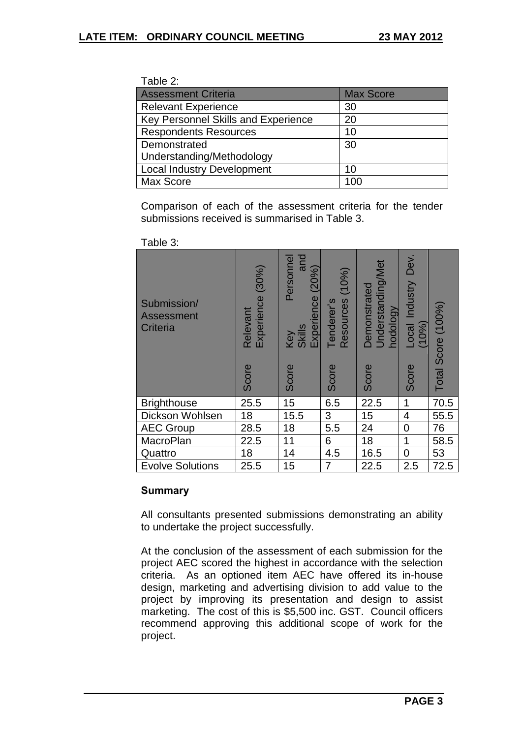| Table 2:                                   |                  |  |  |
|--------------------------------------------|------------------|--|--|
| <b>Assessment Criteria</b>                 | <b>Max Score</b> |  |  |
| <b>Relevant Experience</b>                 | 30               |  |  |
| <b>Key Personnel Skills and Experience</b> | 20               |  |  |
| <b>Respondents Resources</b>               | 10               |  |  |
| Demonstrated                               | 30               |  |  |
| Understanding/Methodology                  |                  |  |  |
| <b>Local Industry Development</b>          | 10               |  |  |
| Max Score                                  | 10 <sub>0</sub>  |  |  |

Comparison of each of the assessment criteria for the tender submissions received is summarised in Table 3.

| Submission/<br><b>Assessment</b><br>Criteria | (30%)<br>Experience<br>Relevant | Personnel<br>and<br>(20%)<br>Experience<br>Key<br>Skills | (10%<br>Resources<br>Tenderer's | Understanding/Met<br>Demonstrated<br>hodology | Dev.<br>Industry<br>Local<br>(10% | Total Score (100%) |
|----------------------------------------------|---------------------------------|----------------------------------------------------------|---------------------------------|-----------------------------------------------|-----------------------------------|--------------------|
|                                              | Score                           | Score                                                    | Score                           | Score                                         | Score                             |                    |
| <b>Brighthouse</b>                           | 25.5                            | 15                                                       | 6.5                             | 22.5                                          | 1                                 | 70.5               |
| Dickson Wohlsen                              | 18                              | 15.5                                                     | 3                               | 15                                            | 4                                 | 55.5               |
| <b>AEC Group</b>                             | 28.5                            | 18                                                       | 5.5                             | 24                                            | 0                                 | 76                 |
| <b>MacroPlan</b>                             | 22.5                            | 11                                                       | 6                               | 18                                            | $\mathbf 1$                       | 58.5               |
| Quattro                                      | 18                              | 14                                                       | 4.5                             | 16.5                                          | $\overline{0}$                    | 53                 |
| <b>Evolve Solutions</b>                      | 25.5                            | 15                                                       | 7                               | 22.5                                          | 2.5                               | 72.5               |

Table 3:

# **Summary**

All consultants presented submissions demonstrating an ability to undertake the project successfully.

At the conclusion of the assessment of each submission for the project AEC scored the highest in accordance with the selection criteria. As an optioned item AEC have offered its in-house design, marketing and advertising division to add value to the project by improving its presentation and design to assist marketing. The cost of this is \$5,500 inc. GST. Council officers recommend approving this additional scope of work for the project.